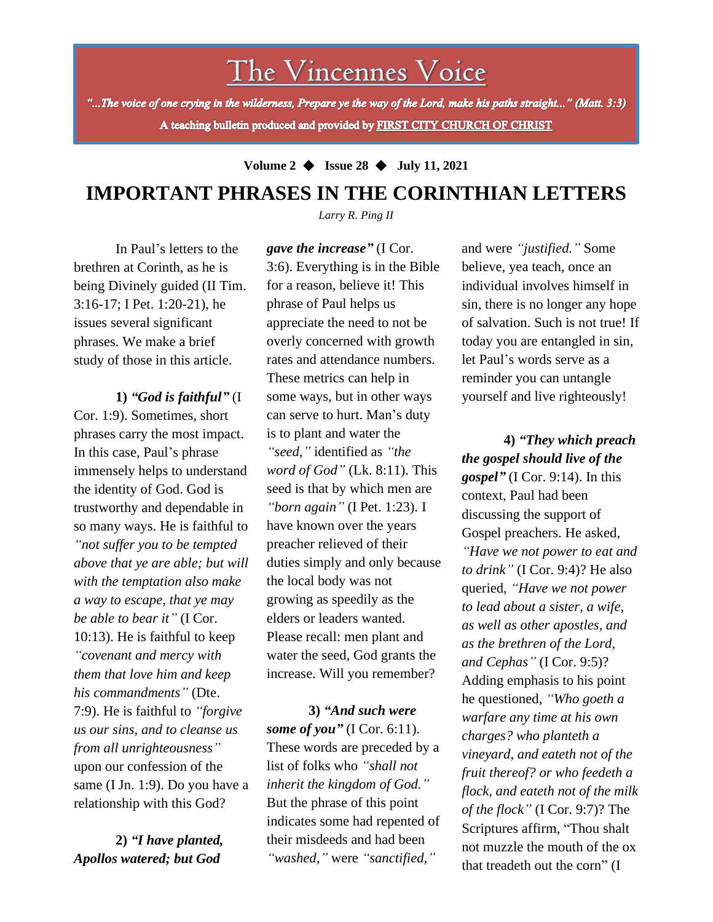The Vincennes Voice

"...The voice of one crying in the wilderness, Prepare ye the way of the Lord, make his paths straight..." (Matt. 3:3) A teaching bulletin produced and provided by FIRST CITY CHURCH OF CHRIST

**Volume 2** ◆ **Issue 28** ◆ **July 11, 2021**

## **IMPORTANT PHRASES IN THE CORINTHIAN LETTERS**

*Larry R. Ping II*

In Paul's letters to the brethren at Corinth, as he is being Divinely guided (II Tim. 3:16-17; I Pet. 1:20-21), he issues several significant phrases. We make a brief study of those in this article.

relationship with this God? **1)** *"God is faithful"* (I Cor. 1:9). Sometimes, short phrases carry the most impact. In this case, Paul's phrase immensely helps to understand the identity of God. God is trustworthy and dependable in so many ways. He is faithful to *"not suffer you to be tempted above that ye are able; but will with the temptation also make a way to escape, that ye may be able to bear it"* (I Cor. 10:13). He is faithful to keep *"covenant and mercy with them that love him and keep his commandments"* (Dte. 7:9). He is faithful to *"forgive us our sins, and to cleanse us from all unrighteousness"* upon our confession of the same (I Jn. 1:9). Do you have a

**2)** *"I have planted, Apollos watered; but God*

*gave the increase"* (I Cor. 3:6). Everything is in the Bible for a reason, believe it! This phrase of Paul helps us appreciate the need to not be overly concerned with growth rates and attendance numbers. These metrics can help in some ways, but in other ways can serve to hurt. Man's duty is to plant and water the *"seed,"* identified as *"the word of God"* (Lk. 8:11). This seed is that by which men are *"born again"* (I Pet. 1:23). I have known over the years preacher relieved of their duties simply and only because the local body was not growing as speedily as the elders or leaders wanted. Please recall: men plant and water the seed, God grants the increase. Will you remember?

**3)** *"And such were some of you*" (I Cor. 6:11). These words are preceded by a list of folks who *"shall not inherit the kingdom of God."* But the phrase of this point indicates some had repented of their misdeeds and had been *"washed,"* were *"sanctified,"*

and were *"justified."* Some believe, yea teach, once an individual involves himself in sin, there is no longer any hope of salvation. Such is not true! If today you are entangled in sin, let Paul's words serve as a reminder you can untangle yourself and live righteously!

**4)** *"They which preach the gospel should live of the gospel*" (I Cor. 9:14). In this context, Paul had been discussing the support of Gospel preachers. He asked, *"Have we not power to eat and to drink"* (I Cor. 9:4)? He also queried, *"Have we not power to lead about a sister, a wife, as well as other apostles, and as the brethren of the Lord, and Cephas"* (I Cor. 9:5)? Adding emphasis to his point he questioned, *"Who goeth a warfare any time at his own charges? who planteth a vineyard, and eateth not of the fruit thereof? or who feedeth a flock, and eateth not of the milk of the flock"* (I Cor. 9:7)? The Scriptures affirm, "Thou shalt not muzzle the mouth of the ox that treadeth out the corn" (I